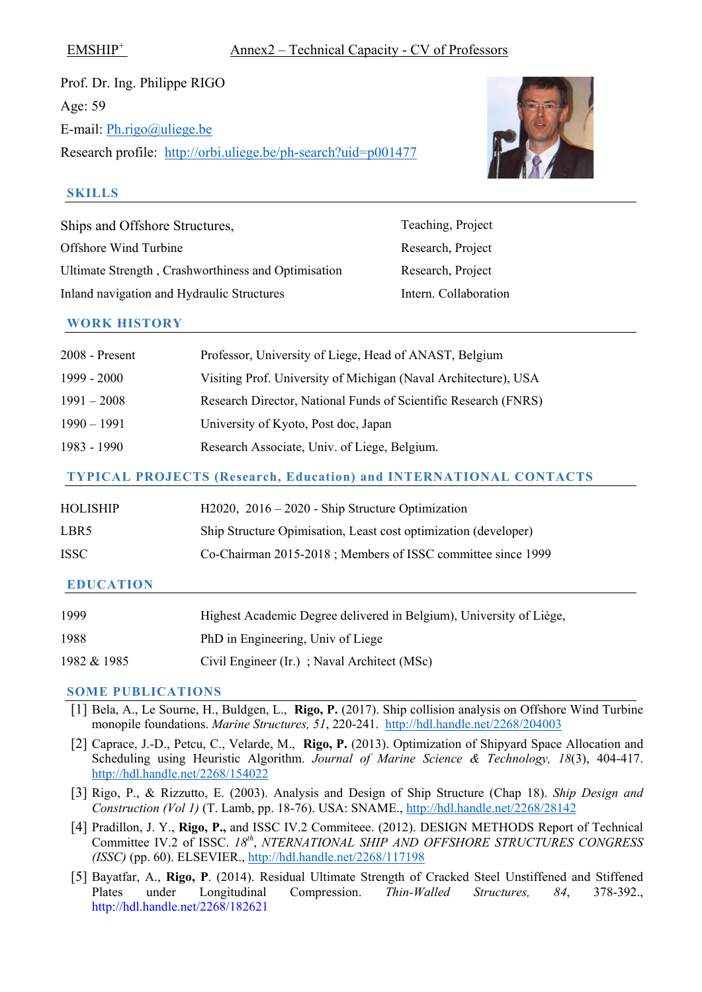Prof. Dr. Ing. Philippe RIGO Age: 59 E-mail: [Ph.rigo@uliege.be](mailto:Ph.rigo@uliege.be) Research profile: <http://orbi.uliege.be/ph-search?uid=p001477>



## **SKILLS**

Ships and Offshore Structures, Teaching, Project Offshore Wind Turbine Research, Project Ultimate Strength, Crashworthiness and Optimisation Research, Project Inland navigation and Hydraulic Structures Intern. Collaboration

### **WORK HISTORY**

| 2008 - Present                                                           | Professor, University of Liege, Head of ANAST, Belgium          |  |
|--------------------------------------------------------------------------|-----------------------------------------------------------------|--|
| 1999 - 2000                                                              | Visiting Prof. University of Michigan (Naval Architecture), USA |  |
| $1991 - 2008$                                                            | Research Director, National Funds of Scientific Research (FNRS) |  |
| $1990 - 1991$                                                            | University of Kyoto, Post doc, Japan                            |  |
| 1983 - 1990                                                              | Research Associate, Univ. of Liege, Belgium.                    |  |
| <b>TYPICAL PROJECTS (Research, Education) and INTERNATIONAL CONTACTS</b> |                                                                 |  |
| HOLISHIP                                                                 | $H2020$ , $2016 - 2020$ - Ship Structure Optimization           |  |

# LBR5 Ship Structure Opimisation, Least cost optimization (developer)

# ISSC Co-Chairman 2015-2018 ; Members of ISSC committee since 1999

# **EDUCATION**

| 1999        | Highest Academic Degree delivered in Belgium), University of Liège, |
|-------------|---------------------------------------------------------------------|
| 1988        | PhD in Engineering, Univ of Liege                                   |
| 1982 & 1985 | Civil Engineer (Ir.); Naval Architect (MSc)                         |

- [1] Bela, A., Le Sourne, H., Buldgen, L., **Rigo, P.** (2017). Ship collision analysis on Offshore Wind Turbine monopile foundations. *Marine Structures, 51*, 220-241. <http://hdl.handle.net/2268/204003>
- [2] Caprace, J.-D., Petcu, C., Velarde, M., **Rigo, P.** (2013). Optimization of Shipyard Space Allocation and Scheduling using Heuristic Algorithm. *Journal of Marine Science & Technology, 18*(3), 404-417. <http://hdl.handle.net/2268/154022>
- [3] Rigo, P., & Rizzutto, E. (2003). Analysis and Design of Ship Structure (Chap 18). *Ship Design and Construction (Vol 1)* (T. Lamb, pp. 18-76). USA: SNAME.,<http://hdl.handle.net/2268/28142>
- [4] Pradillon, J. Y., **Rigo, P.,** and ISSC IV.2 Commiteee. (2012). DESIGN METHODS Report of Technical Committee IV.2 of ISSC. *18th*, *NTERNATIONAL SHIP AND OFFSHORE STRUCTURES CONGRESS (ISSC)* (pp. 60). ELSEVIER.,<http://hdl.handle.net/2268/117198>
- [5] Bayatfar, A., **Rigo, P**. (2014). Residual Ultimate Strength of Cracked Steel Unstiffened and Stiffened Plates under Longitudinal Compression. *Thin-Walled Structures, 84*, 378-392., http://hdl.handle.net/2268/182621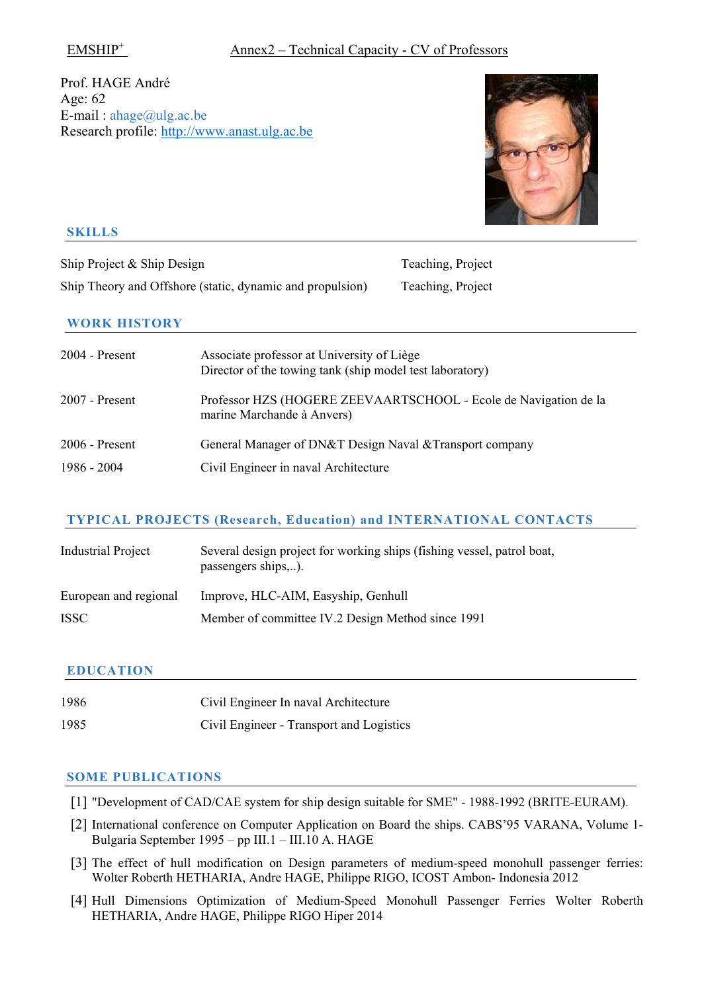# Prof. HAGE André Age: 62 E-mail:  $ahage@ulg.ac.be$ Research profile: [http://www.anast.ulg.ac.be](http://www.anast.ulg.ac.be/)



## **SKILLS**

Ship Project & Ship Design Teaching, Project Ship Theory and Offshore (static, dynamic and propulsion) Teaching, Project

### **WORK HISTORY**

| 2004 - Present   | Associate professor at University of Liège<br>Director of the towing tank (ship model test laboratory) |
|------------------|--------------------------------------------------------------------------------------------------------|
| $2007$ - Present | Professor HZS (HOGERE ZEEVAARTSCHOOL - Ecole de Navigation de la<br>marine Marchande à Anvers)         |
| $2006$ - Present | General Manager of DN&T Design Naval & Transport company                                               |
| 1986 - 2004      | Civil Engineer in naval Architecture                                                                   |

# **TYPICAL PROJECTS (Research, Education) and INTERNATIONAL CONTACTS**

| <b>Industrial Project</b> | Several design project for working ships (fishing vessel, patrol boat,<br>passengers ships). |
|---------------------------|----------------------------------------------------------------------------------------------|
| European and regional     | Improve, HLC-AIM, Easyship, Genhull                                                          |
| <b>ISSC</b>               | Member of committee IV.2 Design Method since 1991                                            |

# **EDUCATION**

| 1986 | Civil Engineer In naval Architecture     |
|------|------------------------------------------|
| 1985 | Civil Engineer - Transport and Logistics |

- [1] "Development of CAD/CAE system for ship design suitable for SME" 1988-1992 (BRITE-EURAM).
- [2] International conference on Computer Application on Board the ships. CABS'95 VARANA, Volume 1- Bulgaria September 1995 – pp III.1 – III.10 A. HAGE
- [3] The effect of hull modification on Design parameters of medium-speed monohull passenger ferries: Wolter Roberth HETHARIA, Andre HAGE, Philippe RIGO, ICOST Ambon- Indonesia 2012
- [4] Hull Dimensions Optimization of Medium-Speed Monohull Passenger Ferries Wolter Roberth HETHARIA, Andre HAGE, Philippe RIGO Hiper 2014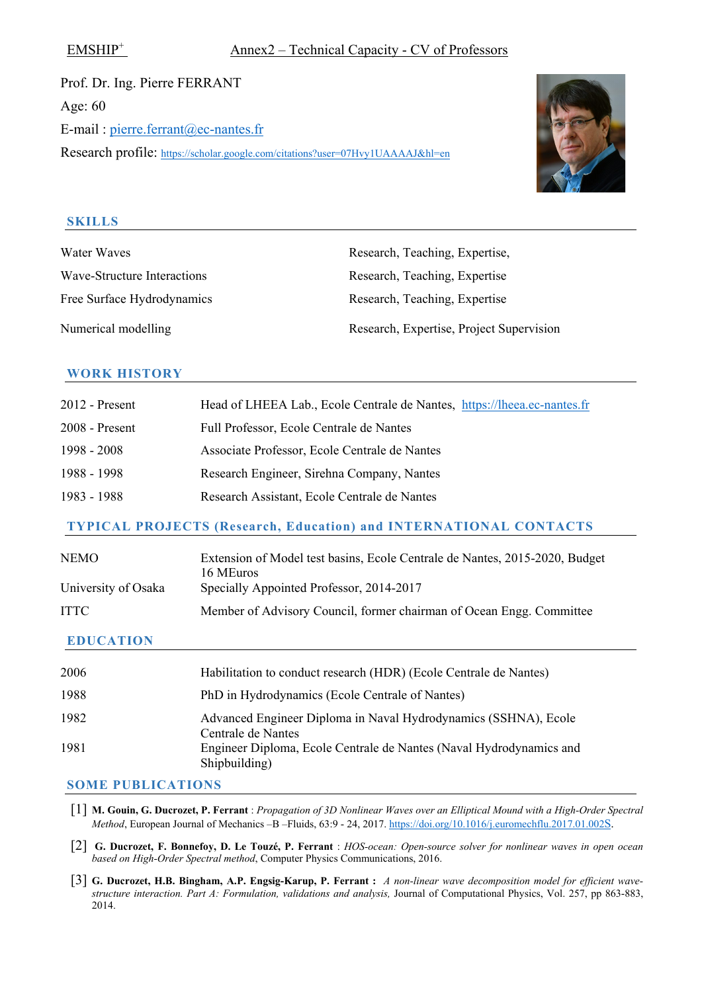Prof. Dr. Ing. Pierre FERRANT Age: 60 E-mail : [pierre.ferrant@ec-nantes.fr](mailto:pierre.ferrant@ec-nantes.fr) Research profile:<https://scholar.google.com/citations?user=07Hvy1UAAAAJ&hl=en>



#### **SKILLS**

Water Waves Research, Teaching, Expertise, Free Surface Hydrodynamics Numerical modelling

Wave-Structure Interactions Research, Teaching, Expertise Research, Teaching, Expertise Research, Expertise, Project Supervision

### **WORK HISTORY**

| $2012$ - Present | Head of LHEEA Lab., Ecole Centrale de Nantes, https://lheea.ec-nantes.fr |
|------------------|--------------------------------------------------------------------------|
| $2008$ - Present | Full Professor, Ecole Centrale de Nantes                                 |
| 1998 - 2008      | Associate Professor, Ecole Centrale de Nantes                            |
| 1988 - 1998      | Research Engineer, Sirehna Company, Nantes                               |
| 1983 - 1988      | Research Assistant, Ecole Centrale de Nantes                             |

### **TYPICAL PROJECTS (Research, Education) and INTERNATIONAL CONTACTS**

| NEMO-<br>University of Osaka | Extension of Model test basins, Ecole Centrale de Nantes, 2015-2020, Budget<br>16 MEuros<br>Specially Appointed Professor, 2014-2017 |
|------------------------------|--------------------------------------------------------------------------------------------------------------------------------------|
| <b>ITTC</b>                  | Member of Advisory Council, former chairman of Ocean Engg. Committee                                                                 |

### **EDUCATION**

| 2006 | Habilitation to conduct research (HDR) (Ecole Centrale de Nantes)                     |
|------|---------------------------------------------------------------------------------------|
| 1988 | PhD in Hydrodynamics (Ecole Centrale of Nantes)                                       |
| 1982 | Advanced Engineer Diploma in Naval Hydrodynamics (SSHNA), Ecole<br>Centrale de Nantes |
| 1981 | Engineer Diploma, Ecole Centrale de Nantes (Naval Hydrodynamics and<br>Shipbuilding)  |

- [1] **M. Gouin, G. Ducrozet, P. Ferrant** : *Propagation of 3D Nonlinear Waves over an Elliptical Mound with a High-Order Spectral Method*, European Journal of Mechanics -B -Fluids, 63:9 - 24, 2017. [https://doi.org/10.1016/j.euromechflu.2017.01.002S.](https://doi.org/10.1016/j.euromechflu.2017.01.002S)
- [2] **G. Ducrozet, F. Bonnefoy, D. Le Touzé, P. Ferrant** : *HOS-ocean: Open-source solver for nonlinear waves in open ocean based on High-Order Spectral method*, Computer Physics Communications, 2016.
- [3] **G. Ducrozet, H.B. Bingham, A.P. Engsig-Karup, P. Ferrant :** *A non-linear wave decomposition model for efficient wavestructure interaction. Part A: Formulation, validations and analysis,* Journal of Computational Physics, Vol. 257, pp 863-883, 2014.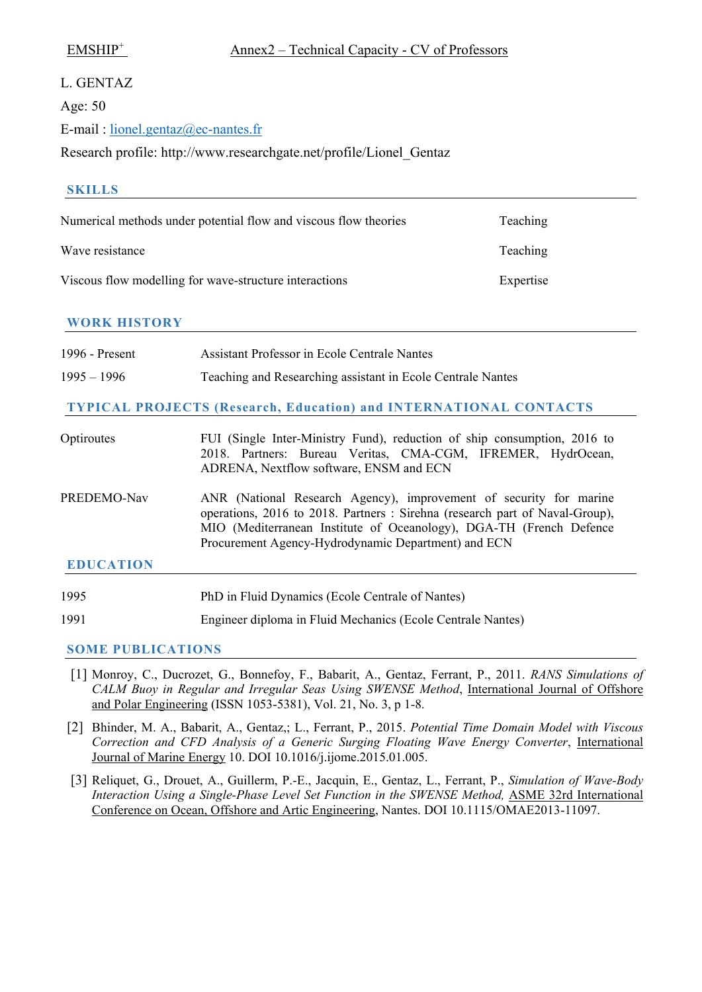#### L. GENTAZ

Age: 50

E-mail : [lionel.gentaz@ec-nantes.fr](mailto:lionel.gentaz@ec-nantes.fr)

Research profile: http://www.researchgate.net/profile/Lionel\_Gentaz

| <b>SKILLS</b>       |                                                                                                                                                                                                                                                                                 |           |
|---------------------|---------------------------------------------------------------------------------------------------------------------------------------------------------------------------------------------------------------------------------------------------------------------------------|-----------|
|                     | Numerical methods under potential flow and viscous flow theories                                                                                                                                                                                                                | Teaching  |
| Wave resistance     |                                                                                                                                                                                                                                                                                 | Teaching  |
|                     | Viscous flow modelling for wave-structure interactions                                                                                                                                                                                                                          | Expertise |
| <b>WORK HISTORY</b> |                                                                                                                                                                                                                                                                                 |           |
| 1996 - Present      | <b>Assistant Professor in Ecole Centrale Nantes</b>                                                                                                                                                                                                                             |           |
| $1995 - 1996$       | Teaching and Researching assistant in Ecole Centrale Nantes                                                                                                                                                                                                                     |           |
|                     | <b>TYPICAL PROJECTS (Research, Education) and INTERNATIONAL CONTACTS</b>                                                                                                                                                                                                        |           |
| Optiroutes          | FUI (Single Inter-Ministry Fund), reduction of ship consumption, 2016 to<br>2018. Partners: Bureau Veritas, CMA-CGM, IFREMER, HydrOcean,<br>ADRENA, Nextflow software, ENSM and ECN                                                                                             |           |
| PREDEMO-Nav         | ANR (National Research Agency), improvement of security for marine<br>operations, 2016 to 2018. Partners: Sirehna (research part of Naval-Group),<br>MIO (Mediterranean Institute of Oceanology), DGA-TH (French Defence<br>Procurement Agency-Hydrodynamic Department) and ECN |           |
| <b>EDUCATION</b>    |                                                                                                                                                                                                                                                                                 |           |

1995 PhD in Fluid Dynamics (Ecole Centrale of Nantes)

1991 Engineer diploma in Fluid Mechanics (Ecole Centrale Nantes)

- [1] Monroy, C., Ducrozet, G., Bonnefoy, F., Babarit, A., Gentaz, Ferrant, P., 2011. *RANS Simulations of CALM Buoy in Regular and Irregular Seas Using SWENSE Method*, International Journal of Offshore and Polar Engineering (ISSN 1053-5381), Vol. 21, No. 3, p 1-8.
- [2] Bhinder, M. A., Babarit, A., Gentaz,; L., Ferrant, P., 2015. *Potential Time Domain Model with Viscous Correction and CFD Analysis of a Generic Surging Floating Wave Energy Converter*, International Journal of Marine Energy 10. DOI 10.1016/j.ijome.2015.01.005.
- [3] Reliquet, G., Drouet, A., Guillerm, P.-E., Jacquin, E., Gentaz, L., Ferrant, P., *Simulation of Wave-Body Interaction Using a Single-Phase Level Set Function in the SWENSE Method, ASME 32rd International* Conference on Ocean, Offshore and Artic Engineering, Nantes. DOI 10.1115/OMAE2013-11097.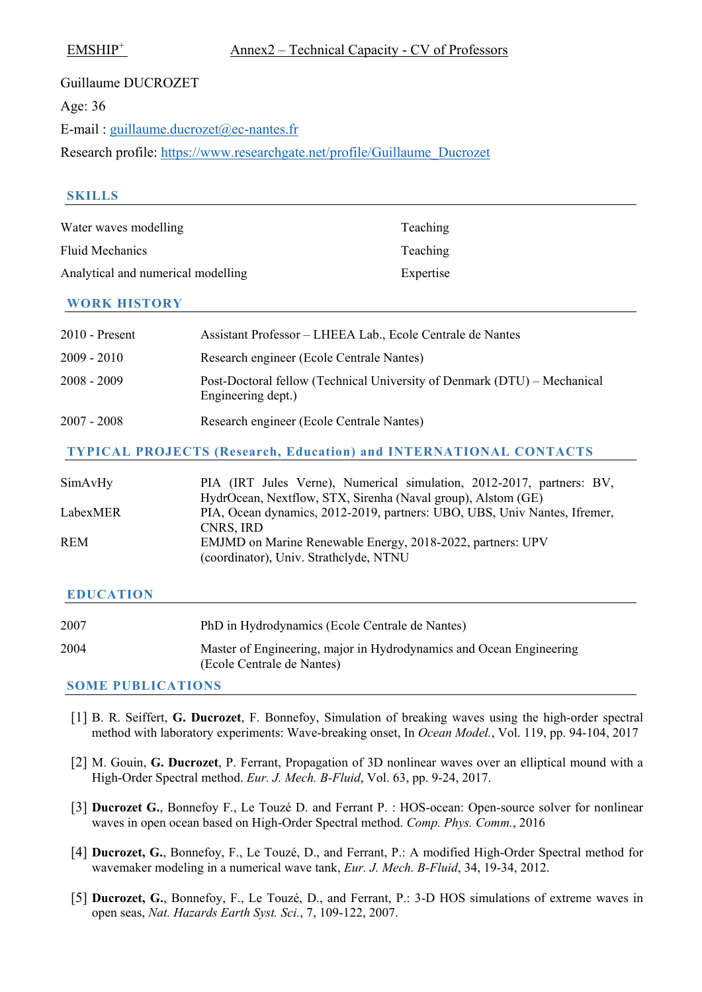| Guillaume DUCROZET                                                        |
|---------------------------------------------------------------------------|
| Age: 36                                                                   |
| E-mail: guillaume.ducrozet@ec-nantes.fr                                   |
| Research profile: https://www.researchgate.net/profile/Guillaume Ducrozet |

### **SKILLS**

| Water waves modelling              | Teaching  |
|------------------------------------|-----------|
| Fluid Mechanics                    | Teaching  |
| Analytical and numerical modelling | Expertise |

#### **WORK HISTORY**

| $2010$ - Present | Assistant Professor – LHEEA Lab., Ecole Centrale de Nantes                                     |
|------------------|------------------------------------------------------------------------------------------------|
| $2009 - 2010$    | Research engineer (Ecole Centrale Nantes)                                                      |
| $2008 - 2009$    | Post-Doctoral fellow (Technical University of Denmark (DTU) – Mechanical<br>Engineering dept.) |
| $2007 - 2008$    | Research engineer (Ecole Centrale Nantes)                                                      |

#### **TYPICAL PROJECTS (Research, Education) and INTERNATIONAL CONTACTS**

| SimAvHy    | PIA (IRT Jules Verne), Numerical simulation, 2012-2017, partners: BV,     |
|------------|---------------------------------------------------------------------------|
|            | HydrOcean, Nextflow, STX, Sirenha (Naval group), Alstom (GE)              |
| LabexMER   | PIA, Ocean dynamics, 2012-2019, partners: UBO, UBS, Univ Nantes, Ifremer, |
|            | CNRS, IRD                                                                 |
| <b>REM</b> | EMJMD on Marine Renewable Energy, 2018-2022, partners: UPV                |
|            | (coordinator), Univ. Strathclyde, NTNU                                    |

#### **EDUCATION**

| 2007 | PhD in Hydrodynamics (Ecole Centrale de Nantes)                                                   |
|------|---------------------------------------------------------------------------------------------------|
| 2004 | Master of Engineering, major in Hydrodynamics and Ocean Engineering<br>(Ecole Centrale de Nantes) |

- [1] B. R. Seiffert, **G. Ducrozet**, F. Bonnefoy, Simulation of breaking waves using the high-order spectral method with laboratory experiments: Wave-breaking onset, In *Ocean Model.*, Vol. 119, pp. 94-104, 2017
- [2] M. Gouin, **G. Ducrozet**, P. Ferrant, Propagation of 3D nonlinear waves over an elliptical mound with a High-Order Spectral method. *Eur. J. Mech. B-Fluid*, Vol. 63, pp. 9-24, 2017.
- [3] **Ducrozet G.**, Bonnefoy F., Le Touzé D. and Ferrant P. : HOS-ocean: Open-source solver for nonlinear waves in open ocean based on High-Order Spectral method. *Comp. Phys. Comm.*, 2016
- [4] **Ducrozet, G.**, Bonnefoy, F., Le Touzé, D., and Ferrant, P.: A modified High-Order Spectral method for wavemaker modeling in a numerical wave tank, *Eur. J. Mech. B-Fluid*, 34, 19-34, 2012.
- [5] **Ducrozet, G.**, Bonnefoy, F., Le Touzé, D., and Ferrant, P.: 3-D HOS simulations of extreme waves in open seas, *Nat. Hazards Earth Syst. Sci.*, 7, 109-122, 2007.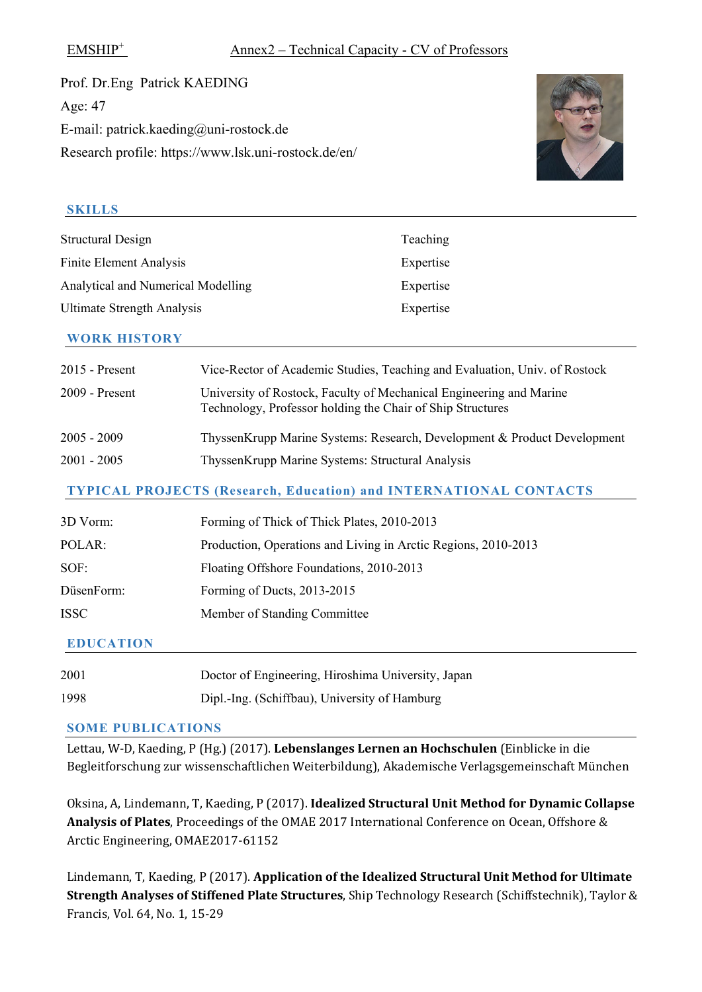Prof. Dr.Eng Patrick KAEDING Age: 47 E-mail: patrick.kaeding@uni-rostock.de Research profile: https://www.lsk.uni-rostock.de/en/



# **SKILLS**

| Structural Design                  | Teaching  |
|------------------------------------|-----------|
| <b>Finite Element Analysis</b>     | Expertise |
| Analytical and Numerical Modelling | Expertise |
| <b>Ultimate Strength Analysis</b>  | Expertise |
|                                    |           |

### **WORK HISTORY**

| 2015 - Present | Vice-Rector of Academic Studies, Teaching and Evaluation, Univ. of Rostock                                                        |
|----------------|-----------------------------------------------------------------------------------------------------------------------------------|
| 2009 - Present | University of Rostock, Faculty of Mechanical Engineering and Marine<br>Technology, Professor holding the Chair of Ship Structures |
| 2005 - 2009    | ThyssenKrupp Marine Systems: Research, Development & Product Development                                                          |
| 2001 - 2005    | ThyssenKrupp Marine Systems: Structural Analysis                                                                                  |

# **TYPICAL PROJECTS (Research, Education) and INTERNATIONAL CONTACTS**

| 3D Vorm:   | Forming of Thick of Thick Plates, 2010-2013                    |
|------------|----------------------------------------------------------------|
| POLAR:     | Production, Operations and Living in Arctic Regions, 2010-2013 |
| SOF:       | Floating Offshore Foundations, 2010-2013                       |
| DüsenForm: | Forming of Ducts, 2013-2015                                    |
| ISSC       | Member of Standing Committee                                   |
|            |                                                                |

# **EDUCATION**

| 2001 | Doctor of Engineering, Hiroshima University, Japan |
|------|----------------------------------------------------|
| 1998 | Dipl.-Ing. (Schiffbau), University of Hamburg      |

### **SOME PUBLICATIONS**

Lettau, W-D, Kaeding, P (Hg.) (2017). **Lebenslanges Lernen an Hochschulen** (Einblicke in die Begleitforschung zur wissenschaftlichen Weiterbildung), Akademische Verlagsgemeinschaft München

Oksina, A, Lindemann, T, Kaeding, P (2017). **Idealized Structural Unit Method for Dynamic Collapse Analysis of Plates**, Proceedings of the OMAE 2017 International Conference on Ocean, Offshore & Arctic Engineering, OMAE2017-61152

Lindemann, T, Kaeding, P (2017). **Application of the Idealized Structural Unit Method for Ultimate Strength Analyses of Stiffened Plate Structures**, Ship Technology Research (Schiffstechnik), Taylor & Francis, Vol. 64, No. 1, 15-29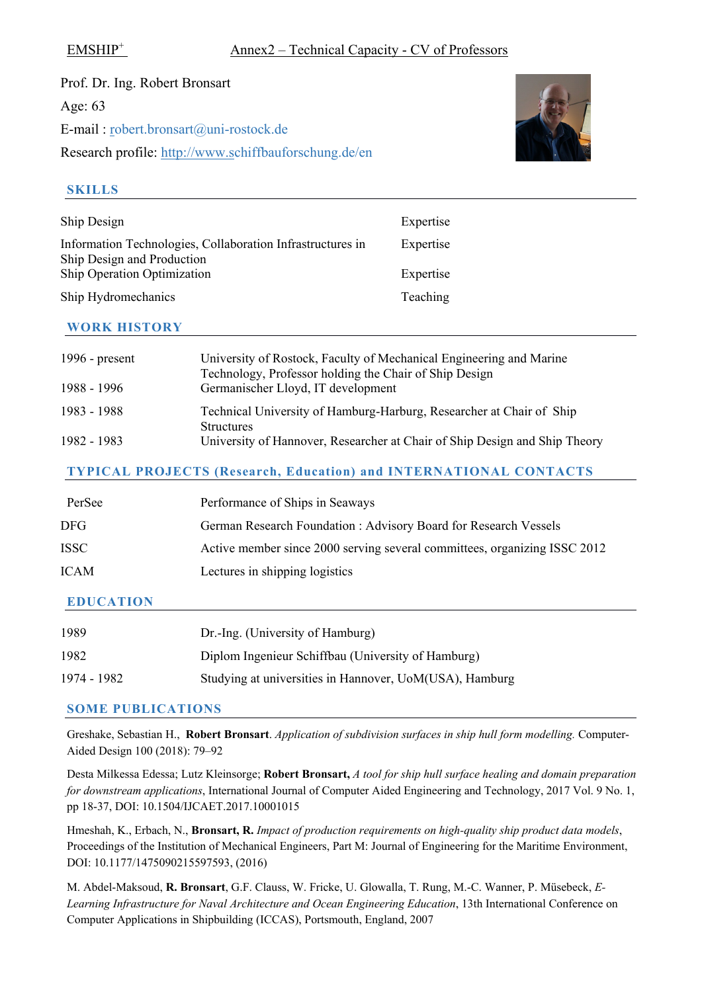Prof. Dr. Ing. Robert Bronsart Age: 63 E-mail : [ro](mailto:herve.lesourne@icam.fr)bert.bronsart@uni-rostock.de Research profile: [http://www.sc](http://www.researchgate.net/profile/Herve_Sourne)hiffbauforschung.de/en



#### **SKILLS**

| Ship Design                                                             | Expertise |
|-------------------------------------------------------------------------|-----------|
| Information Technologies, Collaboration Infrastructures in              | Expertise |
| <b>Ship Design and Production</b><br><b>Ship Operation Optimization</b> | Expertise |
| Ship Hydromechanics                                                     | Teaching  |

#### **WORK HISTORY**

| 1996 - $present$ | University of Rostock, Faculty of Mechanical Engineering and Marine<br>Technology, Professor holding the Chair of Ship Design |
|------------------|-------------------------------------------------------------------------------------------------------------------------------|
| 1988 - 1996      | Germanischer Lloyd, IT development                                                                                            |
| 1983 - 1988      | Technical University of Hamburg-Harburg, Researcher at Chair of Ship<br><b>Structures</b>                                     |
| 1982 - 1983      | University of Hannover, Researcher at Chair of Ship Design and Ship Theory                                                    |

### **TYPICAL PROJECTS (Research, Education) and INTERNATIONAL CONTACTS**

| PerSee           | Performance of Ships in Seaways                                           |
|------------------|---------------------------------------------------------------------------|
| DFG              | German Research Foundation: Advisory Board for Research Vessels           |
| ISSC -           | Active member since 2000 serving several committees, organizing ISSC 2012 |
| ICAM             | Lectures in shipping logistics                                            |
| <b>EDUCATION</b> |                                                                           |

| 1989        | Dr.-Ing. (University of Hamburg)                        |
|-------------|---------------------------------------------------------|
| 1982        | Diplom Ingenieur Schiffbau (University of Hamburg)      |
| 1974 - 1982 | Studying at universities in Hannover, UoM(USA), Hamburg |

### **SOME PUBLICATIONS**

Greshake, Sebastian H., **Robert Bronsart**. *Application of subdivision surfaces in ship hull form modelling.* Computer-Aided Design 100 (2018): 79–92

Desta Milkessa Edessa; Lutz Kleinsorge; **Robert Bronsart,** *A tool for ship hull surface healing and domain preparation for downstream applications*, International Journal of Computer Aided Engineering and Technology, 2017 Vol. 9 No. 1, pp 18-37, DOI: 10.1504/IJCAET.2017.10001015

Hmeshah, K., Erbach, N., **Bronsart, R.** *Impact of production requirements on high-quality ship product data models*, Proceedings of the Institution of Mechanical Engineers, Part M: Journal of Engineering for the Maritime Environment, DOI: 10.1177/1475090215597593, (2016)

M. Abdel-Maksoud, **R. Bronsart**, G.F. Clauss, W. Fricke, U. Glowalla, T. Rung, M.-C. Wanner, P. Müsebeck, *E-Learning Infrastructure for Naval Architecture and Ocean Engineering Education*, 13th International Conference on Computer Applications in Shipbuilding (ICCAS), Portsmouth, England, 2007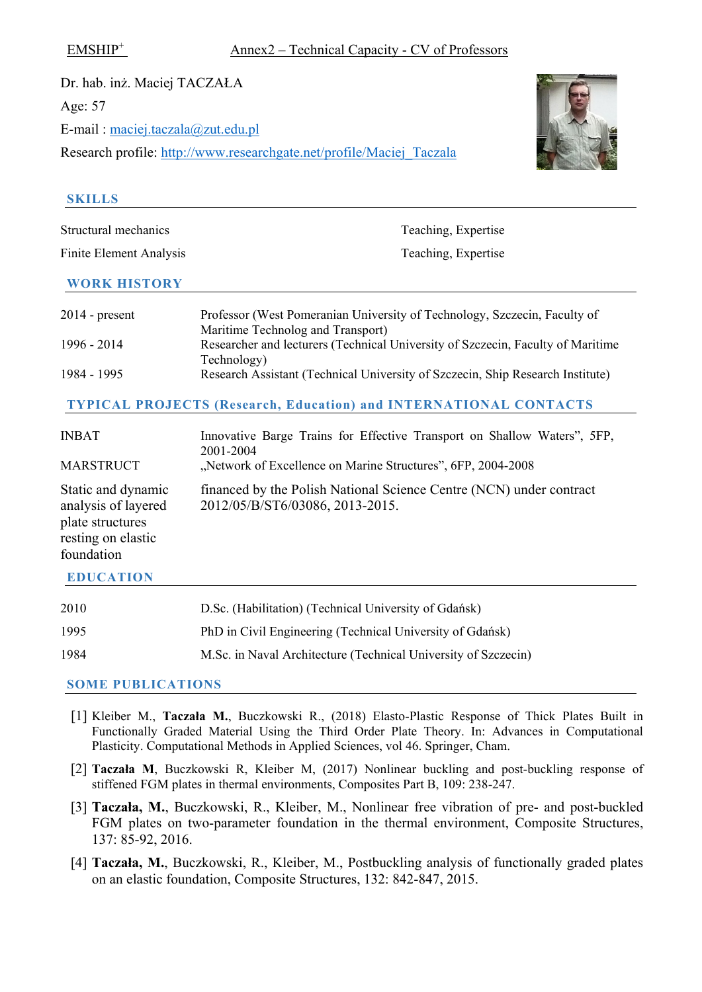Dr. hab. inż. Maciej TACZAŁA Age: 57 E-mail : [maciej.taczala@zut.edu.pl](mailto:maciej.taczala@zut.edu.pl) Research profile: [http://www.researchgate.net/profile/Maciej\\_Taczala](http://www.researchgate.net/profile/Maciej_Taczala)



#### **SKILLS**

| Structural mechanics           | Teaching, Expertise                                                                                            |  |
|--------------------------------|----------------------------------------------------------------------------------------------------------------|--|
| <b>Finite Element Analysis</b> | Teaching, Expertise                                                                                            |  |
| <b>WORK HISTORY</b>            |                                                                                                                |  |
| $2014$ - present               | Professor (West Pomeranian University of Technology, Szczecin, Faculty of<br>Maritime Technolog and Transport) |  |
| 1996 - 2014                    | Researcher and lecturers (Technical University of Szczecin, Faculty of Maritime<br>Technology)                 |  |
| 1984 - 1995                    | Research Assistant (Technical University of Szczecin, Ship Research Institute)                                 |  |
|                                | <b>TYPICAL PROJECTS (Research, Education) and INTERNATIONAL CONTACTS</b>                                       |  |

| <b>INBAT</b><br><b>MARSTRUCT</b>                                                                  | Innovative Barge Trains for Effective Transport on Shallow Waters", 5FP,<br>2001-2004<br>"Network of Excellence on Marine Structures", 6FP, 2004-2008 |
|---------------------------------------------------------------------------------------------------|-------------------------------------------------------------------------------------------------------------------------------------------------------|
| Static and dynamic<br>analysis of layered<br>plate structures<br>resting on elastic<br>foundation | financed by the Polish National Science Centre (NCN) under contract<br>2012/05/B/ST6/03086, 2013-2015.                                                |
| <b>EDUCATION</b>                                                                                  |                                                                                                                                                       |

| 2010 | D.Sc. (Habilitation) (Technical University of Gdańsk)          |
|------|----------------------------------------------------------------|
| 1995 | PhD in Civil Engineering (Technical University of Gdańsk)      |
| 1984 | M.Sc. in Naval Architecture (Technical University of Szczecin) |

- [1] Kleiber M., **Taczała M.**, Buczkowski R., (2018) Elasto-Plastic Response of Thick Plates Built in Functionally Graded Material Using the Third Order Plate Theory. In: Advances in Computational Plasticity. Computational Methods in Applied Sciences, vol 46. Springer, Cham.
- [2] **Taczała M**, Buczkowski R, Kleiber M, (2017) Nonlinear buckling and post-buckling response of stiffened FGM plates in thermal environments, Composites Part B, 109: 238-247.
- [3] **Taczała, M.**, Buczkowski, R., Kleiber, M., Nonlinear free vibration of pre- and post-buckled FGM plates on two-parameter foundation in the thermal environment, Composite Structures, 137: 85-92, 2016.
- [4] **Taczała, M.**, Buczkowski, R., Kleiber, M., Postbuckling analysis of functionally graded plates on an elastic foundation, Composite Structures, 132: 842-847, 2015.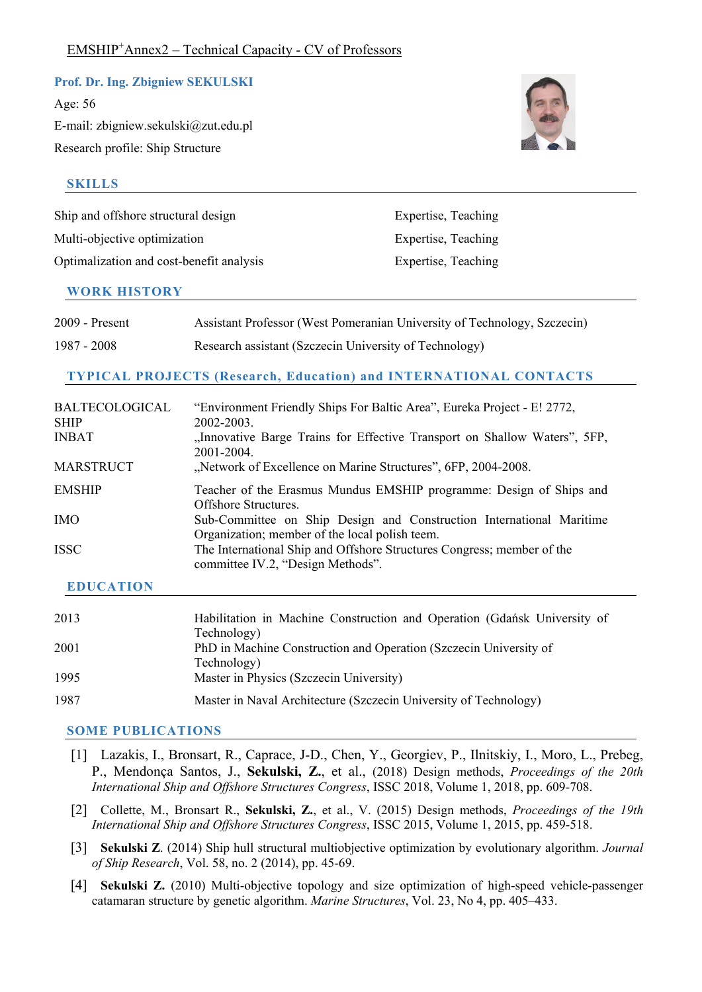### **Prof. Dr. Ing. Zbigniew SEKULSKI**

Age: 56 E-mail: zbigniew.sekulski@zut.edu.pl Research profile: Ship Structure

### **SKILLS**

| Ship and offshore structural design      | Expertise, Teaching |
|------------------------------------------|---------------------|
| Multi-objective optimization             | Expertise, Teaching |
| Optimalization and cost-benefit analysis | Expertise, Teaching |

### **WORK HISTORY**

| 2009 - Present | Assistant Professor (West Pomeranian University of Technology, Szczecin) |
|----------------|--------------------------------------------------------------------------|
| 1987 - 2008    | Research assistant (Szczecin University of Technology)                   |

# **TYPICAL PROJECTS (Research, Education) and INTERNATIONAL CONTACTS**

| <b>BALTECOLOGICAL</b><br><b>SHIP</b> | "Environment Friendly Ships For Baltic Area", Eureka Project - E! 2772,<br>2002-2003.                                  |
|--------------------------------------|------------------------------------------------------------------------------------------------------------------------|
| <b>INBAT</b>                         | "Innovative Barge Trains for Effective Transport on Shallow Waters", 5FP,<br>2001-2004.                                |
| <b>MARSTRUCT</b>                     | "Network of Excellence on Marine Structures", 6FP, 2004-2008.                                                          |
| <b>EMSHIP</b>                        | Teacher of the Erasmus Mundus EMSHIP programme: Design of Ships and<br><b>Offshore Structures</b> .                    |
| <b>IMO</b>                           | Sub-Committee on Ship Design and Construction International Maritime<br>Organization; member of the local polish teem. |
| <b>ISSC</b>                          | The International Ship and Offshore Structures Congress; member of the<br>committee IV.2, "Design Methods".            |

# **EDUCATION**

| 2013 | Habilitation in Machine Construction and Operation (Gdańsk University of<br>Technology) |
|------|-----------------------------------------------------------------------------------------|
| 2001 | PhD in Machine Construction and Operation (Szczecin University of                       |
| 1995 | Technology)<br>Master in Physics (Szczecin University)                                  |
| 1987 | Master in Naval Architecture (Szczecin University of Technology)                        |

- [1] Lazakis, I., Bronsart, R., Caprace, J-D., Chen, Y., Georgiev, P., Ilnitskiy, I., Moro, L., Prebeg, P., Mendonça Santos, J., **Sekulski, Z.**, et al., (2018) Design methods, *Proceedings of the 20th International Ship and Offshore Structures Congress*, ISSC 2018, Volume 1, 2018, pp. 609-708.
- [2] Collette, M., Bronsart R., **Sekulski, Z.**, et al., V. (2015) Design methods, *Proceedings of the 19th International Ship and Offshore Structures Congress*, ISSC 2015, Volume 1, 2015, pp. 459-518.
- [3] **Sekulski Z**. (2014) Ship hull structural multiobjective optimization by evolutionary algorithm. *Journal of Ship Research*, Vol. 58, no. 2 (2014), pp. 45-69.
- [4] **Sekulski Z.** (2010) Multi-objective topology and size optimization of high-speed vehicle-passenger catamaran structure by genetic algorithm. *Marine Structures*, Vol. 23, No 4, pp. 405–433.

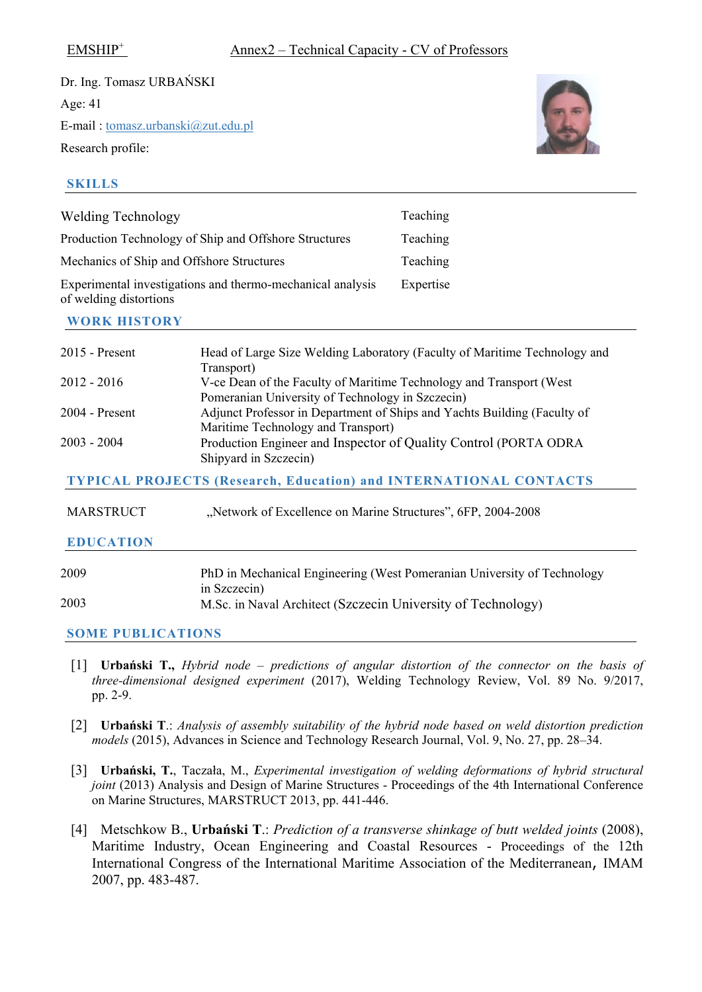Dr. Ing. Tomasz URBAŃSKI Age: 41 E-mail : [tomasz.urbanski@zut.edu.pl](mailto:herve.lesourne@icam.fr) Research profile:

# **SKILLS**

| <b>Welding Technology</b>                                                            | Teaching  |
|--------------------------------------------------------------------------------------|-----------|
| Production Technology of Ship and Offshore Structures                                | Teaching  |
| Mechanics of Ship and Offshore Structures                                            | Teaching  |
| Experimental investigations and thermo-mechanical analysis<br>of welding distortions | Expertise |

# **WORK HISTORY**

| 2015 - Present   | Head of Large Size Welding Laboratory (Faculty of Maritime Technology and |
|------------------|---------------------------------------------------------------------------|
|                  | Transport)                                                                |
| 2012 - 2016      | V-ce Dean of the Faculty of Maritime Technology and Transport (West)      |
|                  | Pomeranian University of Technology in Szczecin)                          |
| 2004 - Present   | Adjunct Professor in Department of Ships and Yachts Building (Faculty of  |
|                  | Maritime Technology and Transport)                                        |
| 2003 - 2004      | Production Engineer and Inspector of Quality Control (PORTA ODRA          |
|                  | Shipyard in Szczecin)                                                     |
|                  | <b>TYPICAL PROJECTS (Research, Education) and INTERNATIONAL CONTACTS</b>  |
|                  |                                                                           |
| <b>MARSTRUCT</b> | "Network of Excellence on Marine Structures", 6FP, 2004-2008              |
| <b>EDUCATION</b> |                                                                           |
|                  |                                                                           |
| 2009             | PhD in Mechanical Engineering (West Pomeranian University of Technology   |
|                  | in Szczecin)                                                              |
| 2003             | M.Sc. in Naval Architect (Szczecin University of Technology)              |
|                  |                                                                           |

- [1] **Urbański T.,** *Hybrid node – predictions of angular distortion of the connector on the basis of three-dimensional designed experiment* (2017), Welding Technology Review, Vol. 89 No. 9/2017, pp. 2-9.
- [2] **Urbański T**.: *Analysis of assembly suitability of the hybrid node based on weld distortion prediction models* (2015), Advances in Science and Technology Research Journal, Vol. 9, No. 27, pp. 28–34.
- [3] **Urbański, T.**, Taczała, M., *Experimental investigation of welding deformations of hybrid structural joint* (2013) Analysis and Design of Marine Structures - Proceedings of the 4th International Conference on Marine Structures, MARSTRUCT 2013, pp. 441-446.
- [4] Metschkow B., **Urbański T**.: *Prediction of a transverse shinkage of butt welded joints* (2008), Maritime Industry, Ocean Engineering and Coastal Resources - Proceedings of the 12th International Congress of the International Maritime Association of the Mediterranean, IMAM 2007, pp. 483-487.

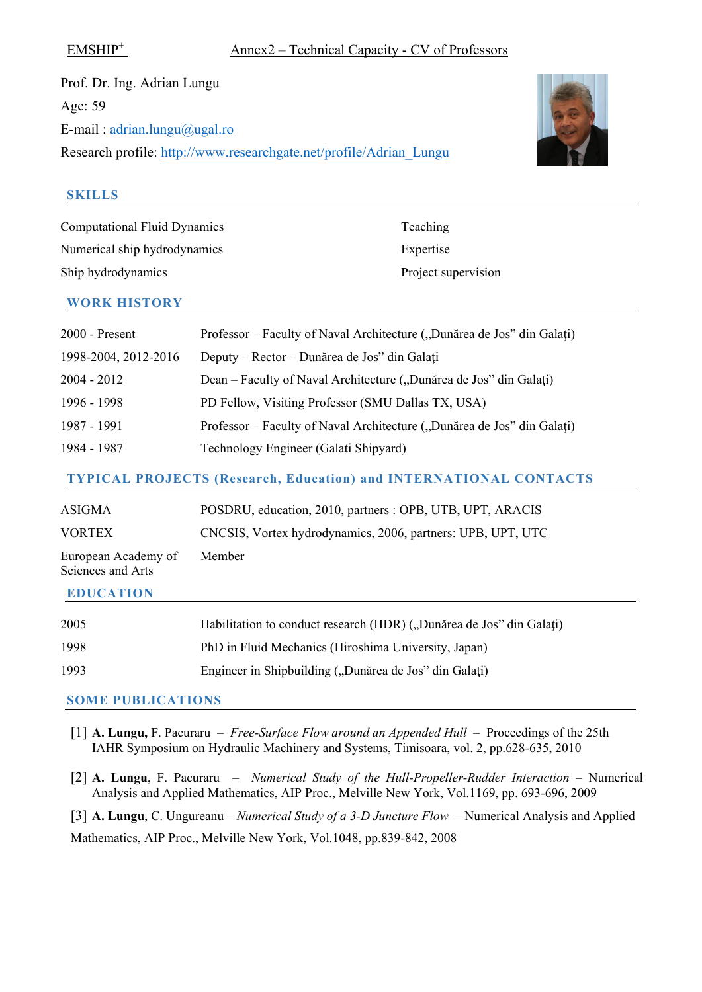Prof. Dr. Ing. Adrian Lungu Age: 59 E-mail : [adrian.lungu@ugal.ro](mailto:adrian.lungu@ugal.ro) Research profile: [http://www.researchgate.net/profile/Adrian\\_Lungu](http://www.researchgate.net/profile/Adrian_Lungu)



#### **SKILLS**

| <b>Computational Fluid Dynamics</b> | Teaching            |
|-------------------------------------|---------------------|
| Numerical ship hydrodynamics        | Expertise           |
| Ship hydrodynamics                  | Project supervision |

#### **WORK HISTORY**

| $2000$ - Present                                                         | Professor – Faculty of Naval Architecture ("Dunărea de Jos" din Galați) |  |
|--------------------------------------------------------------------------|-------------------------------------------------------------------------|--|
| 1998-2004, 2012-2016                                                     | Deputy – Rector – Dunărea de Jos" din Galați                            |  |
| 2004 - 2012                                                              | Dean – Faculty of Naval Architecture ("Dunărea de Jos" din Galați)      |  |
| 1996 - 1998                                                              | PD Fellow, Visiting Professor (SMU Dallas TX, USA)                      |  |
| 1987 - 1991                                                              | Professor – Faculty of Naval Architecture ("Dunărea de Jos" din Galați) |  |
| 1984 - 1987                                                              | Technology Engineer (Galati Shipyard)                                   |  |
| <b>TYPICAL PROJECTS (Research, Education) and INTERNATIONAL CONTACTS</b> |                                                                         |  |
| <b>ASIGMA</b>                                                            | POSDRU, education, 2010, partners : OPB, UTB, UPT, ARACIS               |  |

| 1 10 1 0 1 1 1 1 1                       | $1000R_0$ , calculon, 2010, purincip . Of D, 01D, 011, The ICID |
|------------------------------------------|-----------------------------------------------------------------|
| <b>VORTEX</b>                            | CNCSIS, Vortex hydrodynamics, 2006, partners: UPB, UPT, UTC     |
| European Academy of<br>Sciences and Arts | Member                                                          |

# **EDUCATION**

| 2005 | Habilitation to conduct research (HDR) ("Dunărea de Jos" din Galați) |
|------|----------------------------------------------------------------------|
| 1998 | PhD in Fluid Mechanics (Hiroshima University, Japan)                 |
| 1993 | Engineer in Shipbuilding ("Dunărea de Jos" din Galați)               |

- [1] **A. Lungu,** F. Pacuraru *Free-Surface Flow around an Appended Hull* Proceedings of the 25th IAHR Symposium on Hydraulic Machinery and Systems, Timisoara, vol. 2, pp.628-635, 2010
- [2] **A. Lungu**, F. Pacuraru *Numerical Study of the Hull-Propeller-Rudder Interaction* Numerical Analysis and Applied Mathematics, AIP Proc., Melville New York, Vol.1169, pp. 693-696, 2009
- [3] **A. Lungu**, C. Ungureanu *Numerical Study of a 3-D Juncture Flow* Numerical Analysis and Applied Mathematics, AIP Proc., Melville New York, Vol.1048, pp.839-842, 2008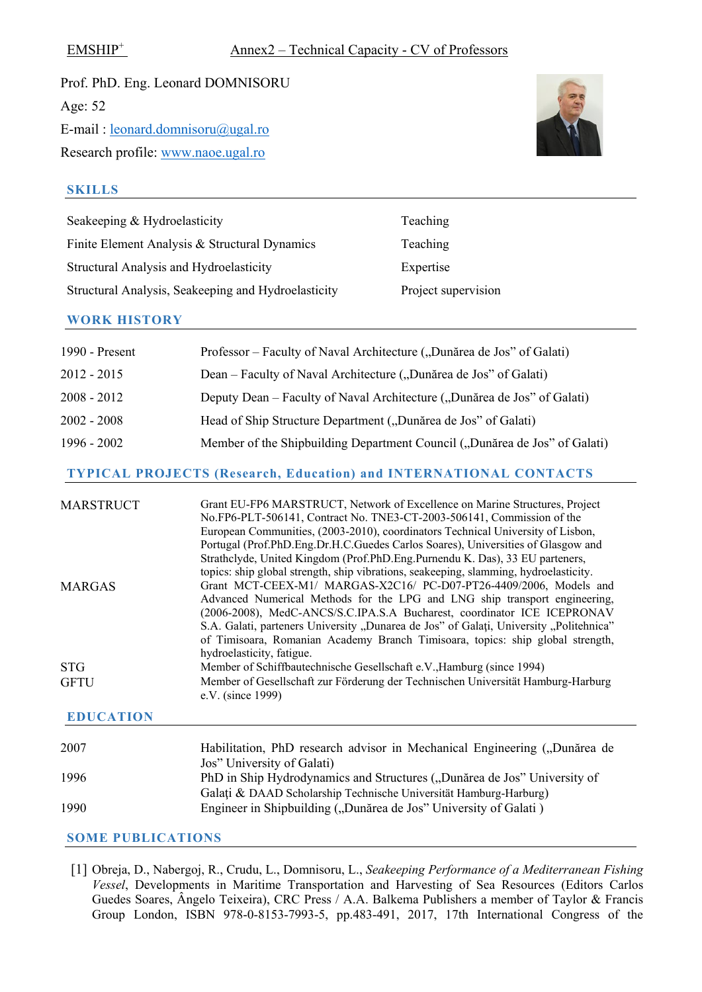Prof. PhD. Eng. Leonard DOMNISORU Age: 52 E-mail : [leonard.domnisoru@ugal.ro](mailto:leonard.domnisoru@ugal.ro) Research profile: www.naoe.ugal.ro



## **SKILLS**

| Seakeeping & Hydroelasticity                        | Teaching            |
|-----------------------------------------------------|---------------------|
| Finite Element Analysis & Structural Dynamics       | Teaching            |
| Structural Analysis and Hydroelasticity             | Expertise           |
| Structural Analysis, Seakeeping and Hydroelasticity | Project supervision |

### **WORK HISTORY**

| 1990 - Present | Professor – Faculty of Naval Architecture ("Dunărea de Jos" of Galati)     |
|----------------|----------------------------------------------------------------------------|
| 2012 - 2015    | Dean – Faculty of Naval Architecture ("Dunărea de Jos" of Galati)          |
| 2008 - 2012    | Deputy Dean – Faculty of Naval Architecture ("Dunărea de Jos" of Galati)   |
| 2002 - 2008    | Head of Ship Structure Department ("Dunărea de Jos" of Galati)             |
| 1996 - 2002    | Member of the Shipbuilding Department Council ("Dunărea de Jos" of Galati) |

### **TYPICAL PROJECTS (Research, Education) and INTERNATIONAL CONTACTS**

| <b>MARSTRUCT</b> | Grant EU-FP6 MARSTRUCT, Network of Excellence on Marine Structures, Project<br>No.FP6-PLT-506141, Contract No. TNE3-CT-2003-506141, Commission of the<br>European Communities, (2003-2010), coordinators Technical University of Lisbon,<br>Portugal (Prof.PhD.Eng.Dr.H.C.Guedes Carlos Soares), Universities of Glasgow and<br>Strathclyde, United Kingdom (Prof.PhD.Eng.Purnendu K. Das), 33 EU parteners,                         |
|------------------|--------------------------------------------------------------------------------------------------------------------------------------------------------------------------------------------------------------------------------------------------------------------------------------------------------------------------------------------------------------------------------------------------------------------------------------|
|                  | topics: ship global strength, ship vibrations, seakeeping, slamming, hydroelasticity.                                                                                                                                                                                                                                                                                                                                                |
| <b>MARGAS</b>    | Grant MCT-CEEX-M1/ MARGAS-X2C16/ PC-D07-PT26-4409/2006, Models and<br>Advanced Numerical Methods for the LPG and LNG ship transport engineering,<br>(2006-2008), MedC-ANCS/S.C.IPA.S.A Bucharest, coordinator ICE ICEPRONAV<br>S.A. Galati, parteners University "Dunarea de Jos" of Galati, University "Politehnica"<br>of Timisoara, Romanian Academy Branch Timisoara, topics: ship global strength,<br>hydroelasticity, fatigue. |
| <b>STG</b>       | Member of Schiffbautechnische Gesellschaft e.V., Hamburg (since 1994)                                                                                                                                                                                                                                                                                                                                                                |
| <b>GFTU</b>      | Member of Gesellschaft zur Förderung der Technischen Universität Hamburg-Harburg<br>e.V. (since 1999)                                                                                                                                                                                                                                                                                                                                |

#### **EDUCATION**

| 2007 | Habilitation, PhD research advisor in Mechanical Engineering ("Dunărea de |
|------|---------------------------------------------------------------------------|
|      | Jos" University of Galati)                                                |
| 1996 | PhD in Ship Hydrodynamics and Structures ("Dunărea de Jos" University of  |
|      | Galați & DAAD Scholarship Technische Universität Hamburg-Harburg)         |
| 1990 | Engineer in Shipbuilding ("Dunărea de Jos" University of Galati)          |

#### **SOME PUBLICATIONS**

[1] Obreja, D., Nabergoj, R., Crudu, L., Domnisoru, L., *Seakeeping Performance of a Mediterranean Fishing Vessel*, Developments in Maritime Transportation and Harvesting of Sea Resources (Editors Carlos Guedes Soares, Ângelo Teixeira), CRC Press / A.A. Balkema Publishers a member of Taylor & Francis Group London, ISBN 978-0-8153-7993-5, pp.483-491, 2017, 17th International Congress of the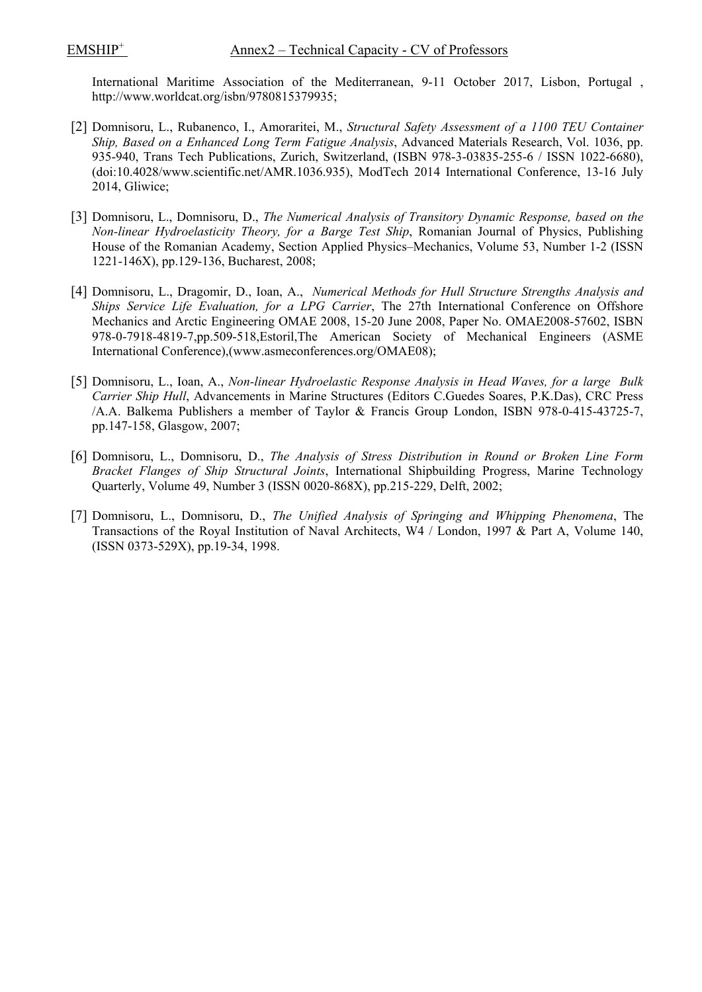International Maritime Association of the Mediterranean, 9-11 October 2017, Lisbon, Portugal , http://www.worldcat.org/isbn/9780815379935;

- [2] Domnisoru, L., Rubanenco, I., Amoraritei, M., *Structural Safety Assessment of a 1100 TEU Container Ship, Based on a Enhanced Long Term Fatigue Analysis*, Advanced Materials Research, Vol. 1036, pp. 935-940, Trans Tech Publications, Zurich, Switzerland, (ISBN 978-3-03835-255-6 / ISSN 1022-6680), (doi:10.4028/www.scientific.net/AMR.1036.935), ModTech 2014 International Conference, 13-16 July 2014, Gliwice;
- [3] Domnisoru, L., Domnisoru, D., *The Numerical Analysis of Transitory Dynamic Response, based on the Non-linear Hydroelasticity Theory, for a Barge Test Ship*, Romanian Journal of Physics, Publishing House of the Romanian Academy, Section Applied Physics–Mechanics, Volume 53, Number 1-2 (ISSN 1221-146X), pp.129-136, Bucharest, 2008;
- [4] Domnisoru, L., Dragomir, D., Ioan, A., *Numerical Methods for Hull Structure Strengths Analysis and Ships Service Life Evaluation, for a LPG Carrier*, The 27th International Conference on Offshore Mechanics and Arctic Engineering OMAE 2008, 15-20 June 2008, Paper No. OMAE2008-57602, ISBN 978-0-7918-4819-7,pp.509-518,Estoril,The American Society of Mechanical Engineers (ASME International Conference),(www.asmeconferences.org/OMAE08);
- [5] Domnisoru, L., Ioan, A., *Non-linear Hydroelastic Response Analysis in Head Waves, for a large Bulk Carrier Ship Hull*, Advancements in Marine Structures (Editors C.Guedes Soares, P.K.Das), CRC Press /A.A. Balkema Publishers a member of Taylor & Francis Group London, ISBN 978-0-415-43725-7, pp.147-158, Glasgow, 2007;
- [6] Domnisoru, L., Domnisoru, D., *The Analysis of Stress Distribution in Round or Broken Line Form Bracket Flanges of Ship Structural Joints*, International Shipbuilding Progress, Marine Technology Quarterly, Volume 49, Number 3 (ISSN 0020-868X), pp.215-229, Delft, 2002;
- [7] Domnisoru, L., Domnisoru, D., *The Unified Analysis of Springing and Whipping Phenomena*, The Transactions of the Royal Institution of Naval Architects, W4 / London, 1997 & Part A, Volume 140, (ISSN 0373-529X), pp.19-34, 1998.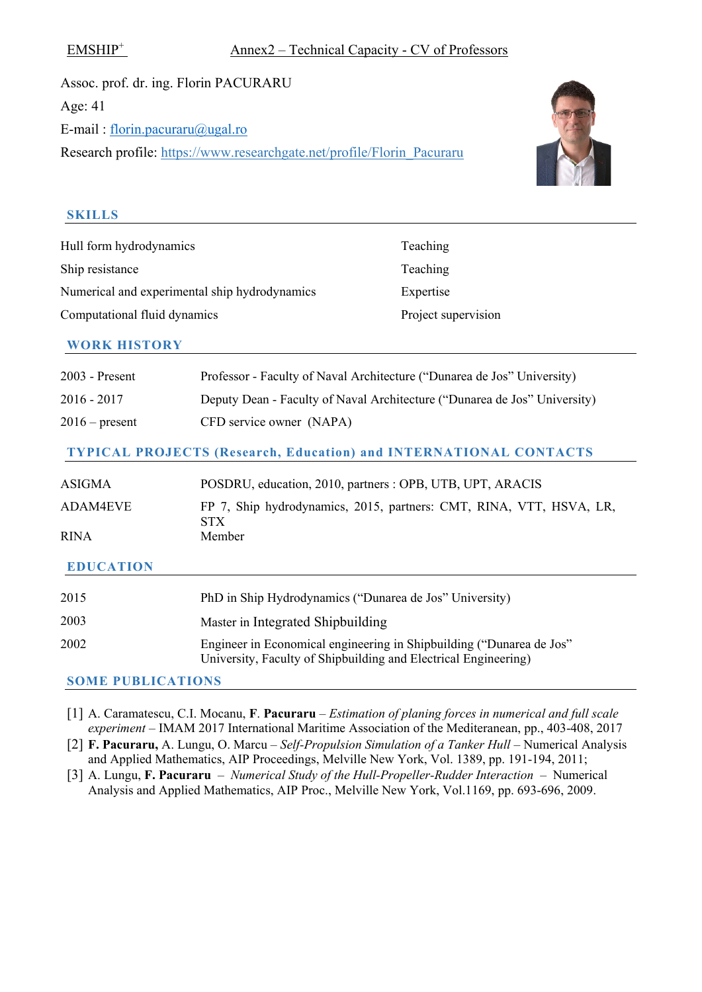Assoc. prof. dr. ing. Florin PACURARU Age: 41 E-mail : [florin.pacuraru@ugal.ro](mailto:florin.pacuraru@ugal.ro) Research profile: https://www.researchgate.net/profile/Florin\_Pacuraru



# **SKILLS**

| Hull form hydrodynamics                       | Teaching            |
|-----------------------------------------------|---------------------|
| Ship resistance                               | Teaching            |
| Numerical and experimental ship hydrodynamics | Expertise           |
| Computational fluid dynamics                  | Project supervision |

### **WORK HISTORY**

| 2003 - Present           | Professor - Faculty of Naval Architecture ("Dunarea de Jos" University)                                                                 |
|--------------------------|-----------------------------------------------------------------------------------------------------------------------------------------|
| $2016 - 2017$            | Deputy Dean - Faculty of Naval Architecture ("Dunarea de Jos" University)                                                               |
| $2016$ – present         | CFD service owner (NAPA)                                                                                                                |
|                          | <b>TYPICAL PROJECTS (Research, Education) and INTERNATIONAL CONTACTS</b>                                                                |
| <b>ASIGMA</b>            | POSDRU, education, 2010, partners : OPB, UTB, UPT, ARACIS                                                                               |
| <b>ADAM4EVE</b>          | FP 7, Ship hydrodynamics, 2015, partners: CMT, RINA, VTT, HSVA, LR,<br>STX.                                                             |
| <b>RINA</b>              | Member                                                                                                                                  |
| <b>EDUCATION</b>         |                                                                                                                                         |
| 2015                     | PhD in Ship Hydrodynamics ("Dunarea de Jos" University)                                                                                 |
| 2003                     | Master in Integrated Shipbuilding                                                                                                       |
| 2002                     | Engineer in Economical engineering in Shipbuilding ("Dunarea de Jos"<br>University, Faculty of Shipbuilding and Electrical Engineering) |
| <b>SOME PUBLICATIONS</b> |                                                                                                                                         |

[1] A. Caramatescu, C.I. Mocanu, **F**. **Pacuraru** – *Estimation of planing forces in numerical and full scale experiment* – IMAM 2017 International Maritime Association of the Mediteranean, pp., 403-408, 2017

[2] **F. Pacuraru,** A. Lungu, O. Marcu – *Self-Propulsion Simulation of a Tanker Hull* – Numerical Analysis and Applied Mathematics, AIP Proceedings, Melville New York, Vol. 1389, pp. 191-194, 2011;

[3] A. Lungu, **F. Pacuraru** – *Numerical Study of the Hull-Propeller-Rudder Interaction* – Numerical Analysis and Applied Mathematics, AIP Proc., Melville New York, Vol.1169, pp. 693-696, 2009.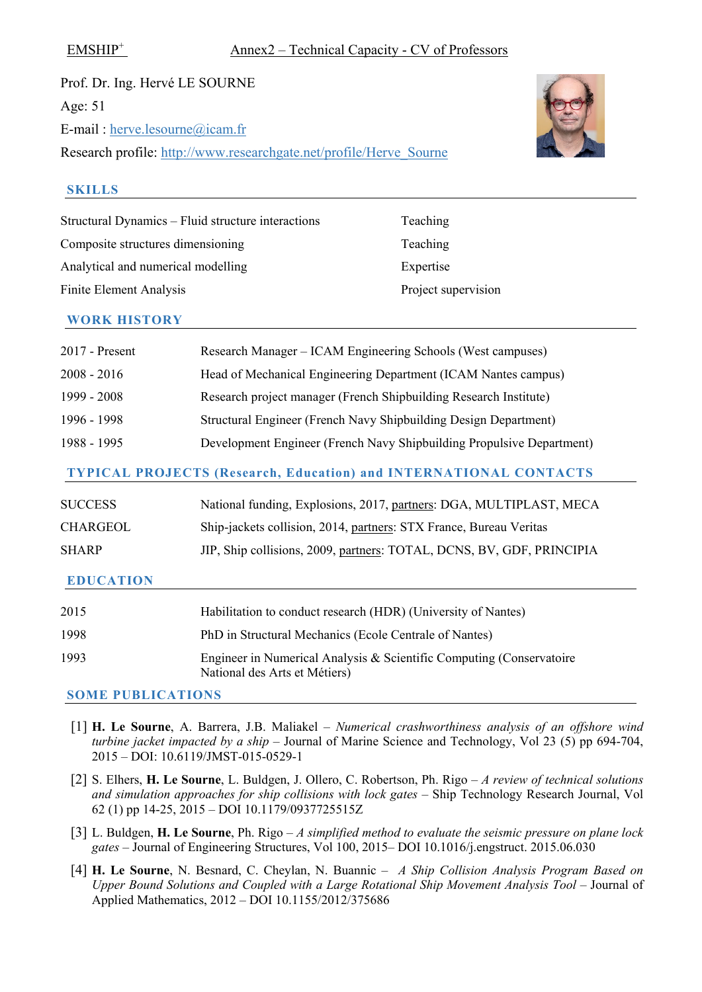Prof. Dr. Ing. Hervé LE SOURNE Age: 51 E-mail : [herve.lesourne@icam.fr](mailto:herve.lesourne@icam.fr) Research profile: [http://www.researchgate.net/profile/Herve\\_Sourne](http://www.researchgate.net/profile/Herve_Sourne)



#### **SKILLS**

| Structural Dynamics – Fluid structure interactions | Teaching            |
|----------------------------------------------------|---------------------|
| Composite structures dimensioning                  | Teaching            |
| Analytical and numerical modelling                 | Expertise           |
| <b>Finite Element Analysis</b>                     | Project supervision |
|                                                    |                     |

#### **WORK HISTORY**

| 2017 - Present | Research Manager - ICAM Engineering Schools (West campuses)           |
|----------------|-----------------------------------------------------------------------|
| 2008 - 2016    | Head of Mechanical Engineering Department (ICAM Nantes campus)        |
| 1999 - 2008    | Research project manager (French Shipbuilding Research Institute)     |
| 1996 - 1998    | Structural Engineer (French Navy Shipbuilding Design Department)      |
| 1988 - 1995    | Development Engineer (French Navy Shipbuilding Propulsive Department) |

#### **TYPICAL PROJECTS (Research, Education) and INTERNATIONAL CONTACTS**

| 2015             | Habilitation to conduct research (HDR) (University of Nantes)         |
|------------------|-----------------------------------------------------------------------|
| <b>EDUCATION</b> |                                                                       |
| <b>SHARP</b>     | JIP, Ship collisions, 2009, partners: TOTAL, DCNS, BV, GDF, PRINCIPIA |
| CHARGEOL         | Ship-jackets collision, 2014, partners: STX France, Bureau Veritas    |
| <b>SUCCESS</b>   | National funding, Explosions, 2017, partners: DGA, MULTIPLAST, MECA   |

| 1998 | PhD in Structural Mechanics (Ecole Centrale of Nantes)                                                |
|------|-------------------------------------------------------------------------------------------------------|
| 1993 | Engineer in Numerical Analysis & Scientific Computing (Conservatoire<br>National des Arts et Métiers) |

- [1] **H. Le Sourne**, A. Barrera, J.B. Maliakel *Numerical crashworthiness analysis of an offshore wind turbine jacket impacted by a ship* – Journal of Marine Science and Technology, Vol 23 (5) pp 694-704, 2015 – DOI: 10.6119/JMST-015-0529-1
- [2] S. Elhers, **H. Le Sourne**, L. Buldgen, J. Ollero, C. Robertson, Ph. Rigo *– A review of technical solutions and simulation approaches for ship collisions with lock gates –* Ship Technology Research Journal, Vol 62 (1) pp 14-25, 2015 – DOI 10.1179/0937725515Z
- [3] L. Buldgen, **H. Le Sourne**, Ph. Rigo *A simplified method to evaluate the seismic pressure on plane lock gates* – Journal of Engineering Structures, Vol 100, 2015– DOI 10.1016/j.engstruct. 2015.06.030
- [4] **H. Le Sourne**, N. Besnard, C. Cheylan, N. Buannic *A Ship Collision Analysis Program Based on Upper Bound Solutions and Coupled with a Large Rotational Ship Movement Analysis Tool* – Journal of Applied Mathematics, 2012 – DOI 10.1155/2012/375686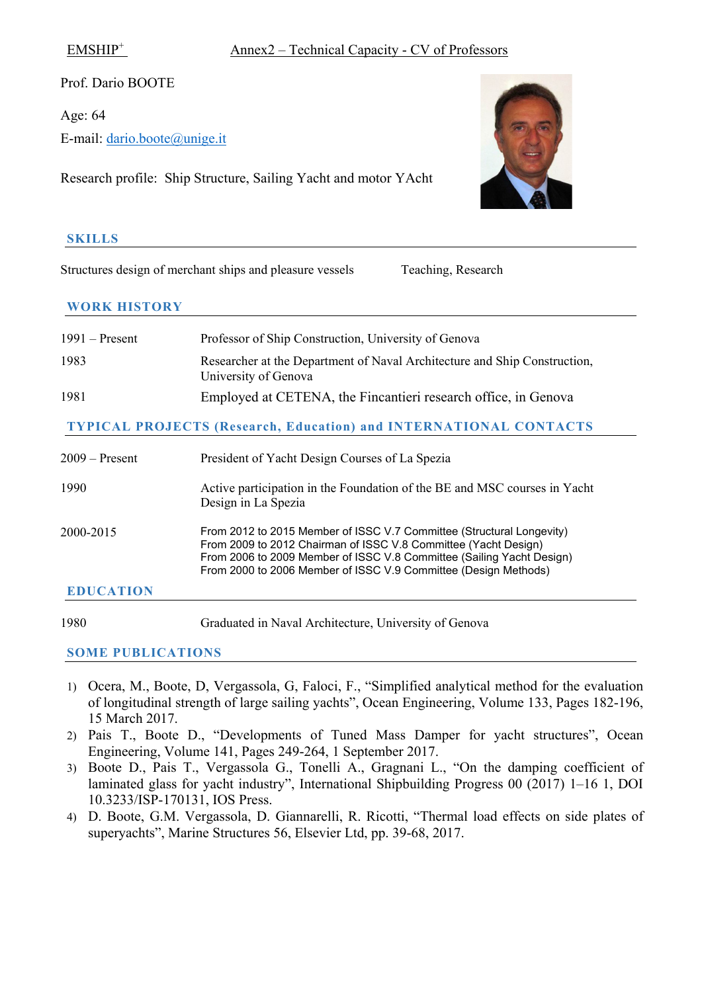Prof. Dario BOOTE

Age: 64

E-mail: [dario.boote@unige.it](mailto:dario.boote@unige.it)

Research profile: Ship Structure, Sailing Yacht and motor YAcht

# **SKILLS**

Structures design of merchant ships and pleasure vessels Teaching, Research

# **WORK HISTORY**

| $1991 -$ Present | Professor of Ship Construction, University of Genova                                              |
|------------------|---------------------------------------------------------------------------------------------------|
| 1983             | Researcher at the Department of Naval Architecture and Ship Construction,<br>University of Genova |
| 1981             | Employed at CETENA, the Fincantieri research office, in Genova                                    |
|                  | <b>TYPICAL PROJECTS (Research, Education) and INTERNATIONAL CONTACTS</b>                          |

| 2009 – Present   | President of Yacht Design Courses of La Spezia                                                                                                                                                                                                                                       |
|------------------|--------------------------------------------------------------------------------------------------------------------------------------------------------------------------------------------------------------------------------------------------------------------------------------|
| 1990             | Active participation in the Foundation of the BE and MSC courses in Yacht<br>Design in La Spezia                                                                                                                                                                                     |
| 2000-2015        | From 2012 to 2015 Member of ISSC V.7 Committee (Structural Longevity)<br>From 2009 to 2012 Chairman of ISSC V.8 Committee (Yacht Design)<br>From 2006 to 2009 Member of ISSC V.8 Committee (Sailing Yacht Design)<br>From 2000 to 2006 Member of ISSC V.9 Committee (Design Methods) |
| <b>EDUCATION</b> |                                                                                                                                                                                                                                                                                      |

1980 Graduated in Naval Architecture, University of Genova

- 1) Ocera, M., Boote, D, Vergassola, G, Faloci, F., "Simplified analytical method for the evaluation of longitudinal strength of large sailing yachts", Ocean Engineering, Volume 133, Pages 182-196, 15 March 2017.
- 2) Pais T., Boote D., "Developments of Tuned Mass Damper for yacht structures", Ocean Engineering, Volume 141, Pages 249-264, 1 September 2017.
- 3) Boote D., Pais T., Vergassola G., Tonelli A., Gragnani L., "On the damping coefficient of laminated glass for yacht industry", International Shipbuilding Progress 00 (2017) 1–16 1, DOI 10.3233/ISP-170131, IOS Press.
- 4) D. Boote, G.M. Vergassola, D. Giannarelli, R. Ricotti, "Thermal load effects on side plates of superyachts", Marine Structures 56, Elsevier Ltd, pp. 39-68, 2017.

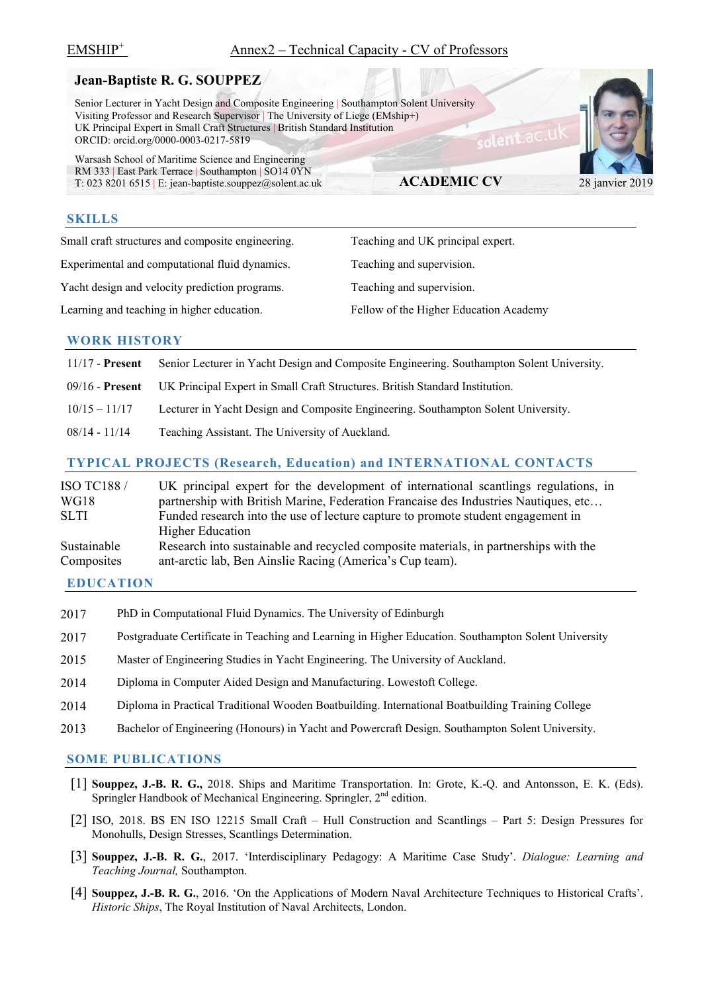# **Jean-Baptiste R. G. SOUPPEZ**

 Senior Lecturer in Yacht Design and Composite Engineering | Southampton Solent University Visiting Professor and Research Supervisor | The University of Liege (EMship+) UK Principal Expert in Small Craft Structures | British Standard Institution ORCID: orcid.org/0000-0003-0217-5819

 Warsash School of Maritime Science and Engineering RM 333 | East Park Terrace | Southampton | SO14 0YN T: 023 8201 6515 | E: jean-baptiste.souppez $@$ solent.ac.uk

#### **SKILLS**

Small craft structures and composite engineering. Teaching and UK principal expert.

Experimental and computational fluid dynamics. Teaching and supervision.

Yacht design and velocity prediction programs. Teaching and supervision.

Learning and teaching in higher education. Fellow of the Higher Education Academy

**ACADEMIC CV** 28 janvier 2019

solent.ac

### **WORK HISTORY**

| $11/17$ - Present | Senior Lecturer in Yacht Design and Composite Engineering. Southampton Solent University. |
|-------------------|-------------------------------------------------------------------------------------------|
| $09/16$ - Present | UK Principal Expert in Small Craft Structures. British Standard Institution.              |
| $10/15 - 11/17$   | Lecturer in Yacht Design and Composite Engineering. Southampton Solent University.        |
| $08/14 - 11/14$   | Teaching Assistant. The University of Auckland.                                           |
|                   |                                                                                           |

# **TYPICAL PROJECTS (Research, Education) and INTERNATIONAL CONTACTS**

| <b>ISO TC188 /</b> | UK principal expert for the development of international scantlings regulations, in  |
|--------------------|--------------------------------------------------------------------------------------|
| WG18               | partnership with British Marine, Federation Francaise des Industries Nautiques, etc  |
| SLTI.              | Funded research into the use of lecture capture to promote student engagement in     |
|                    | <b>Higher Education</b>                                                              |
| Sustainable        | Research into sustainable and recycled composite materials, in partnerships with the |
| Composites         | ant-arctic lab, Ben Ainslie Racing (America's Cup team).                             |

### **EDUCATION**

- 2017 PhD in Computational Fluid Dynamics. The University of Edinburgh
- 2017 Postgraduate Certificate in Teaching and Learning in Higher Education. Southampton Solent University
- 2015 Master of Engineering Studies in Yacht Engineering. The University of Auckland.
- 2014 Diploma in Computer Aided Design and Manufacturing. Lowestoft College.
- 2014 Diploma in Practical Traditional Wooden Boatbuilding. International Boatbuilding Training College
- 2013 Bachelor of Engineering (Honours) in Yacht and Powercraft Design. Southampton Solent University.

- [1] **Souppez, J.-B. R. G.,** 2018. Ships and Maritime Transportation. In: Grote, K.-Q. and Antonsson, E. K. (Eds). Springler Handbook of Mechanical Engineering. Springler, 2<sup>nd</sup> edition.
- [2] ISO, 2018. BS EN ISO 12215 Small Craft Hull Construction and Scantlings Part 5: Design Pressures for Monohulls, Design Stresses, Scantlings Determination.
- [3] **Souppez, J.-B. R. G.**, 2017. 'Interdisciplinary Pedagogy: A Maritime Case Study'. *Dialogue: Learning and Teaching Journal,* Southampton.
- [4] **Souppez, J.-B. R. G.**, 2016. 'On the Applications of Modern Naval Architecture Techniques to Historical Crafts'. *Historic Ships*, The Royal Institution of Naval Architects, London.